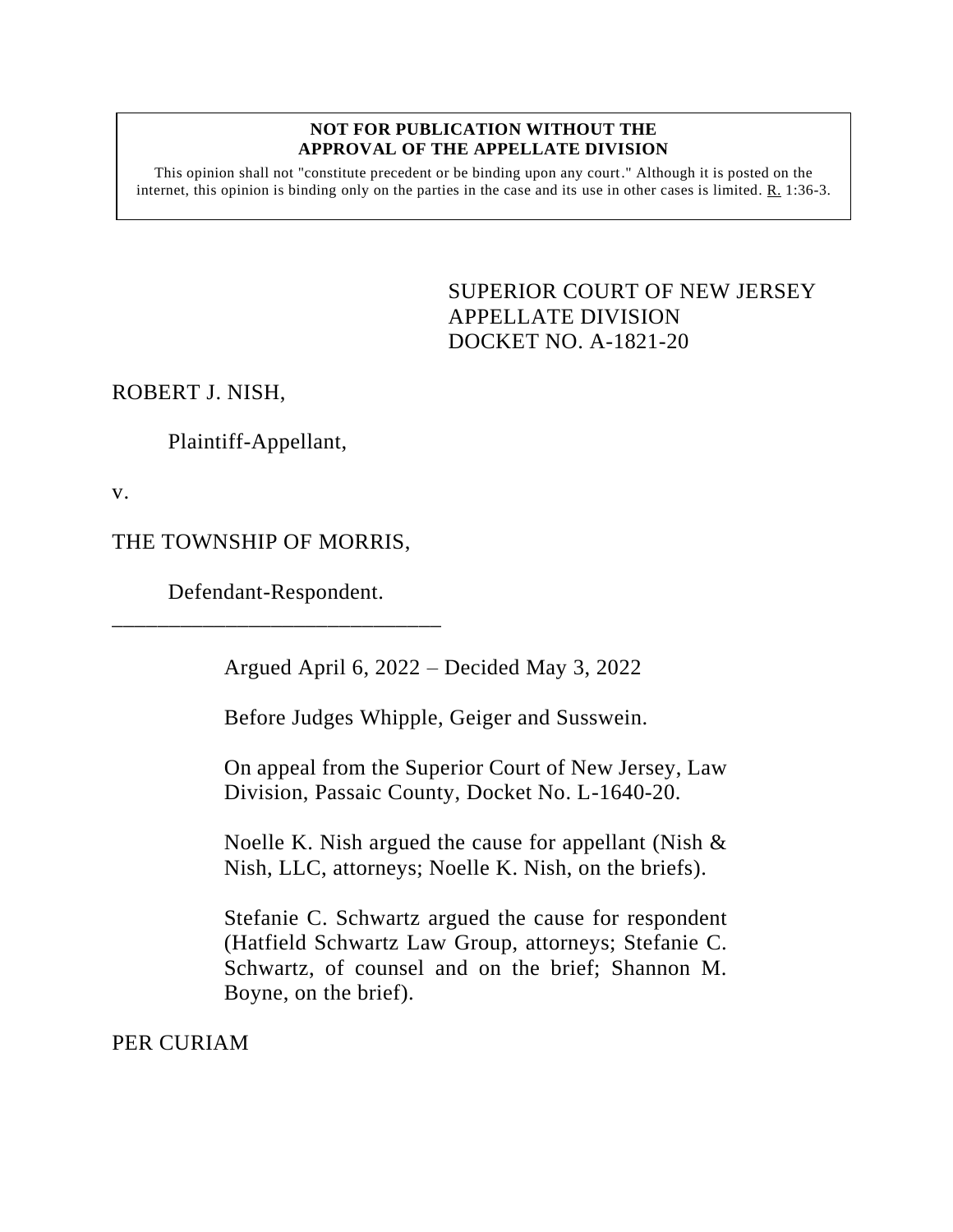## **NOT FOR PUBLICATION WITHOUT THE APPROVAL OF THE APPELLATE DIVISION**

This opinion shall not "constitute precedent or be binding upon any court." Although it is posted on the internet, this opinion is binding only on the parties in the case and its use in other cases is limited.  $R_1$  1:36-3.

> <span id="page-0-0"></span>SUPERIOR COURT OF NEW JERSEY APPELLATE DIVISION DOCKET NO. A-1821-20

ROBERT J. NISH,

Plaintiff-Appellant,

v.

## THE TOWNSHIP OF MORRIS,

Defendant-Respondent. \_\_\_\_\_\_\_\_\_\_\_\_\_\_\_\_\_\_\_\_\_\_\_\_\_\_\_\_\_

Argued April 6, 2022 – Decided May 3, 2022

Before Judges Whipple, Geiger and Susswein.

On appeal from the Superior Court of New Jersey, Law Division, Passaic County, Docket No. L-1640-20.

Noelle K. Nish argued the cause for appellant (Nish & Nish, LLC, attorneys; Noelle K. Nish, on the briefs).

Stefanie C. Schwartz argued the cause for respondent (Hatfield Schwartz Law Group, attorneys; Stefanie C. Schwartz, of counsel and on the brief; Shannon M. Boyne, on the brief).

PER CURIAM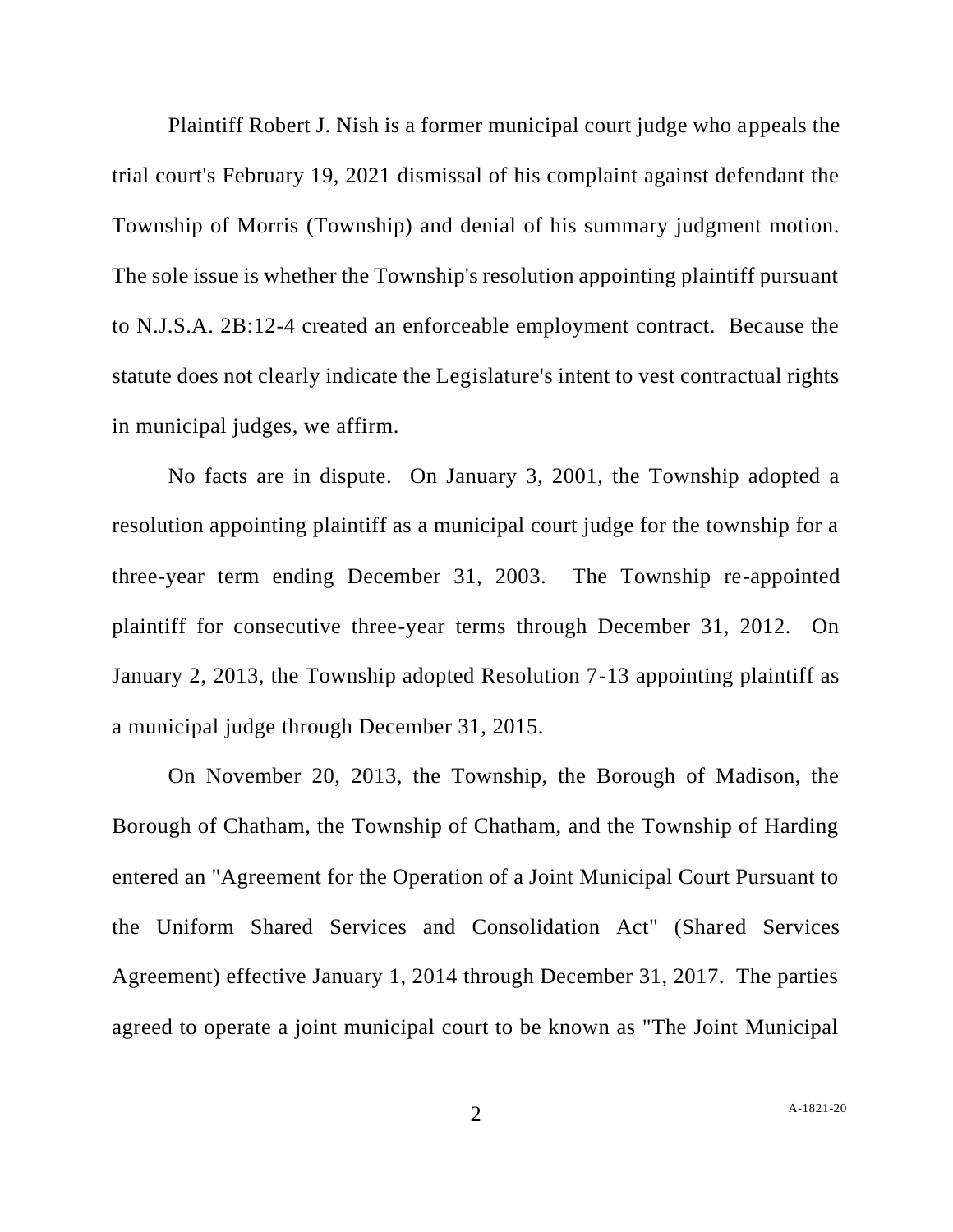Plaintiff Robert J. Nish is a former municipal court judge who appeals the trial court's February 19, 2021 dismissal of his complaint against defendant the Township of Morris (Township) and denial of his summary judgment motion. The sole issue is whether the Township's resolution appointing plaintiff pursuant to N.J.S.A. 2B:12-4 created an enforceable employment contract. Because the statute does not clearly indicate the Legislature's intent to vest contractual rights in municipal judges, we affirm.

No facts are in dispute. On January 3, 2001, the Township adopted a resolution appointing plaintiff as a municipal court judge for the township for a three-year term ending December 31, 2003. The Township re-appointed plaintiff for consecutive three-year terms through December 31, 2012. On January 2, 2013, the Township adopted Resolution 7-13 appointing plaintiff as a municipal judge through December 31, 2015.

On November 20, 2013, the Township, the Borough of Madison, the Borough of Chatham, the Township of Chatham, and the Township of Harding entered an "Agreement for the Operation of a Joint Municipal Court Pursuant to the Uniform Shared Services and Consolidation Act" (Shared Services Agreement) effective January 1, 2014 through December 31, 2017. The parties agreed to operate a joint municipal court to be known as "The Joint Municipal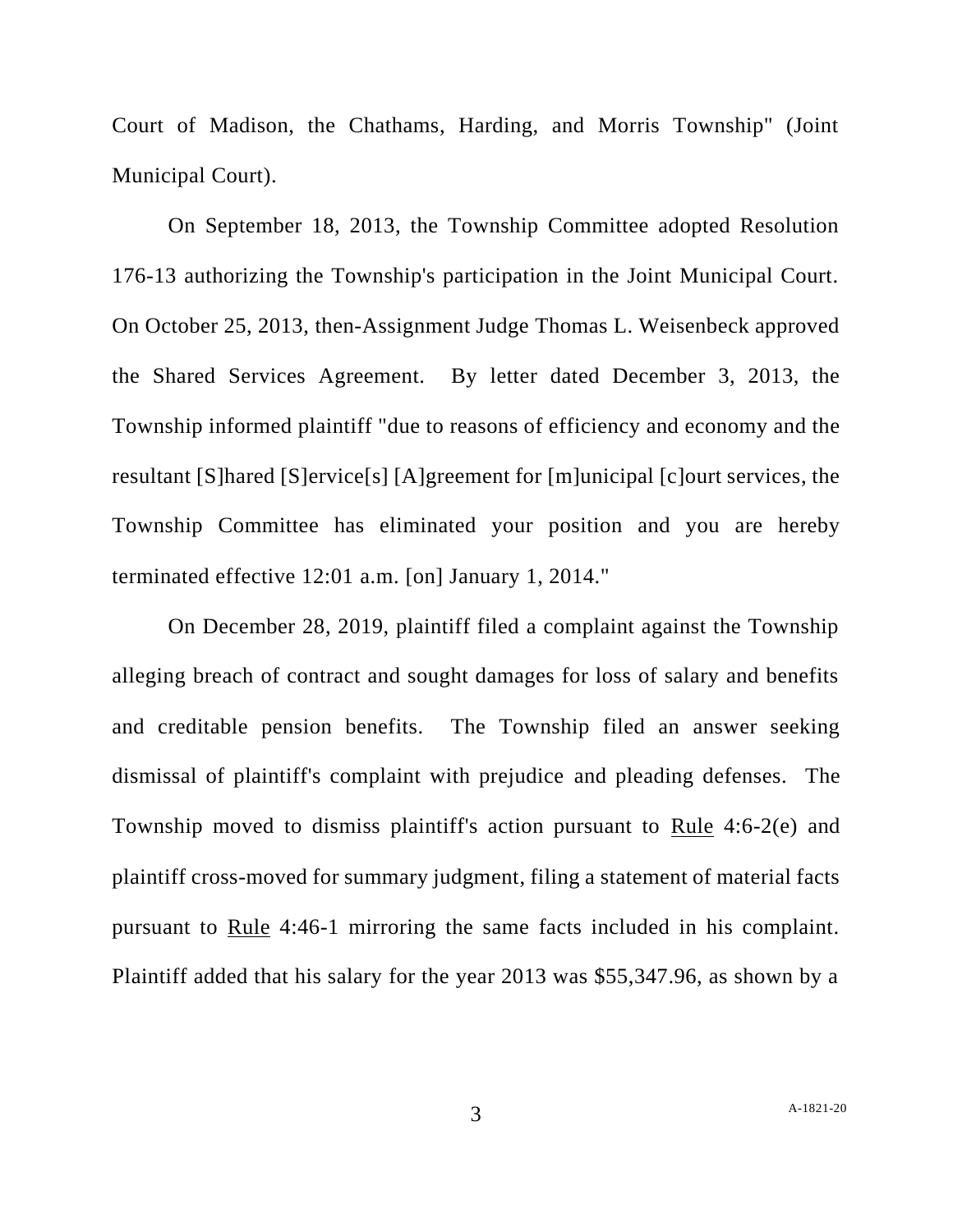Court of Madison, the Chathams, Harding, and Morris Township" (Joint Municipal Court).

On September 18, 2013, the Township Committee adopted Resolution 176-13 authorizing the Township's participation in the Joint Municipal Court. On October 25, 2013, then-Assignment Judge Thomas L. Weisenbeck approved the Shared Services Agreement. By letter dated December 3, 2013, the Township informed plaintiff "due to reasons of efficiency and economy and the resultant [S]hared [S]ervice[s] [A]greement for [m]unicipal [c]ourt services, the Township Committee has eliminated your position and you are hereby terminated effective 12:01 a.m. [on] January 1, 2014."

On December 28, 2019, plaintiff filed a complaint against the Township alleging breach of contract and sought damages for loss of salary and benefits and creditable pension benefits. The Township filed an answer seeking dismissal of plaintiff's complaint with prejudice and pleading defenses. The Township moved to dismiss plaintiff's action pursuant to Rule 4:6-2(e) and plaintiff cross-moved for summary judgment, filing a statement of material facts pursuant to Rule 4:46-1 mirroring the same facts included in his complaint. Plaintiff added that his salary for the year 2013 was \$55,347.96, as shown by a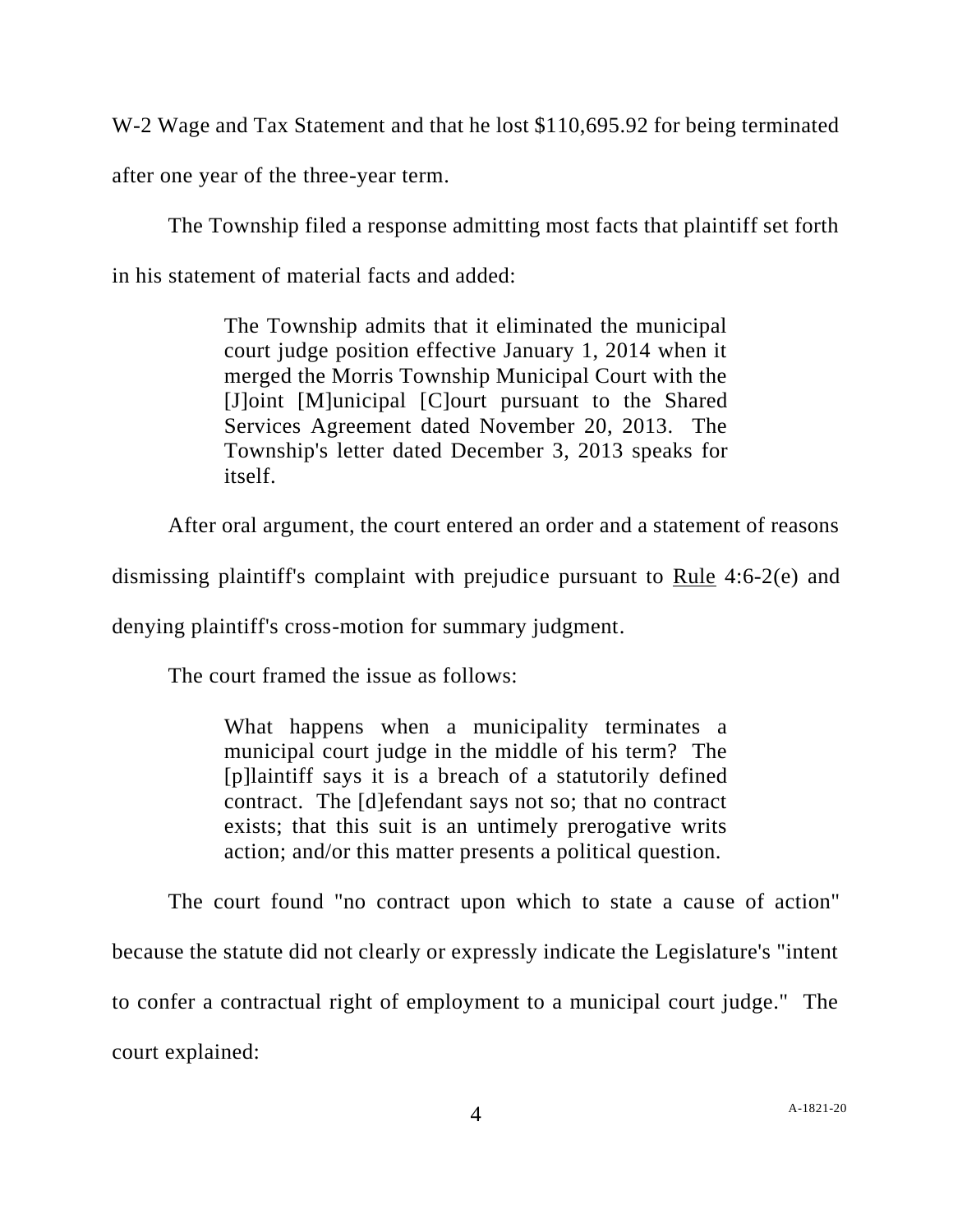W-2 Wage and Tax Statement and that he lost \$110,695.92 for being terminated

after one year of the three-year term.

The Township filed a response admitting most facts that plaintiff set forth in his statement of material facts and added:

> The Township admits that it eliminated the municipal court judge position effective January 1, 2014 when it merged the Morris Township Municipal Court with the [J]oint [M]unicipal [C]ourt pursuant to the Shared Services Agreement dated November 20, 2013. The Township's letter dated December 3, 2013 speaks for itself.

After oral argument, the court entered an order and a statement of reasons

dismissing plaintiff's complaint with prejudice pursuant to Rule 4:6-2(e) and

denying plaintiff's cross-motion for summary judgment.

The court framed the issue as follows:

What happens when a municipality terminates a municipal court judge in the middle of his term? The [p]laintiff says it is a breach of a statutorily defined contract. The [d]efendant says not so; that no contract exists; that this suit is an untimely prerogative writs action; and/or this matter presents a political question.

The court found "no contract upon which to state a cause of action" because the statute did not clearly or expressly indicate the Legislature's "intent to confer a contractual right of employment to a municipal court judge." The court explained: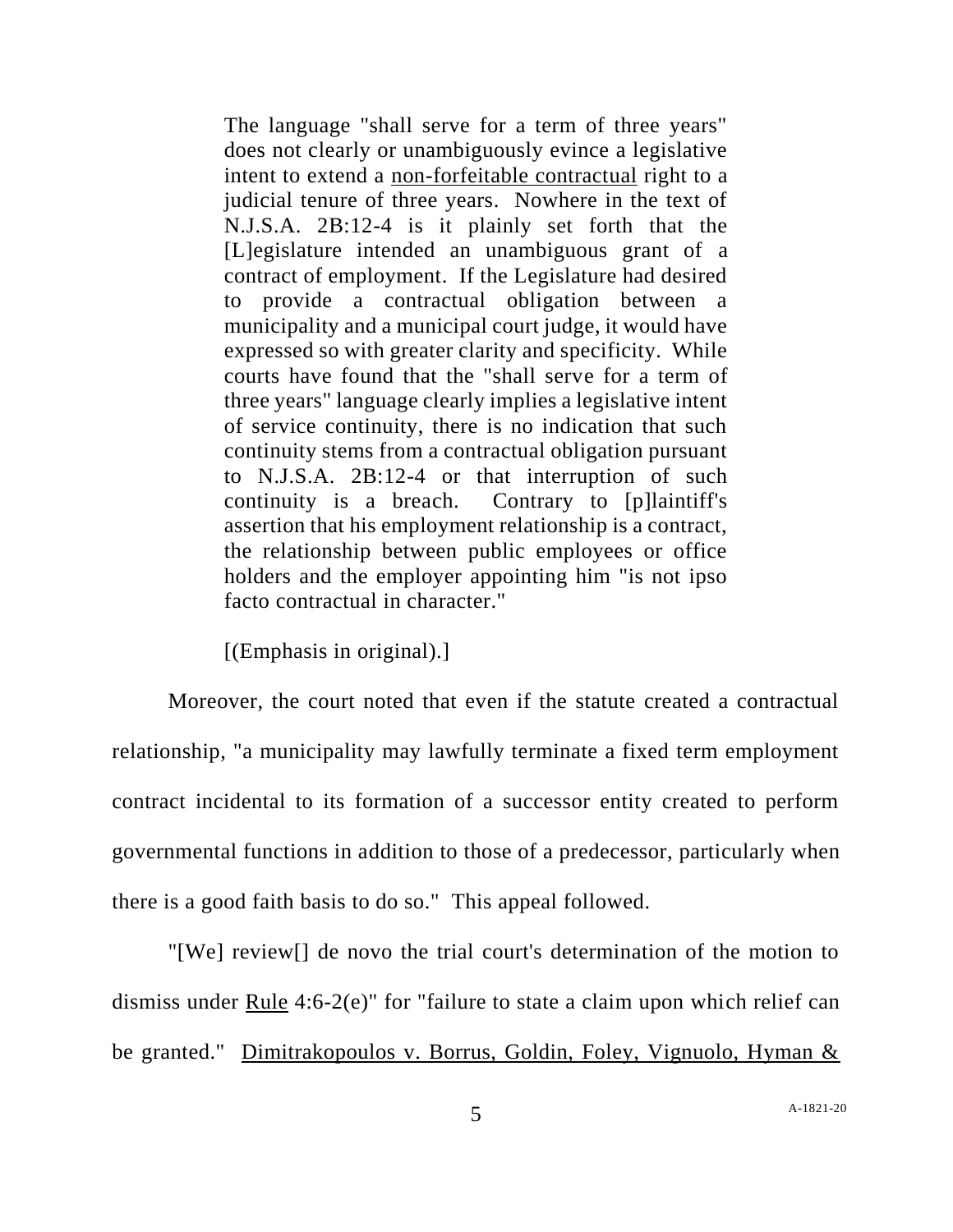The language "shall serve for a term of three years" does not clearly or unambiguously evince a legislative intent to extend a non-forfeitable contractual right to a judicial tenure of three years. Nowhere in the text of N.J.S.A. 2B:12-4 is it plainly set forth that the [L]egislature intended an unambiguous grant of a contract of employment. If the Legislature had desired to provide a contractual obligation between a municipality and a municipal court judge, it would have expressed so with greater clarity and specificity. While courts have found that the "shall serve for a term of three years" language clearly implies a legislative intent of service continuity, there is no indication that such continuity stems from a contractual obligation pursuant to N.J.S.A. 2B:12-4 or that interruption of such continuity is a breach. Contrary to [p]laintiff's assertion that his employment relationship is a contract, the relationship between public employees or office holders and the employer appointing him "is not ipso facto contractual in character."

[(Emphasis in original).]

Moreover, the court noted that even if the statute created a contractual relationship, "a municipality may lawfully terminate a fixed term employment contract incidental to its formation of a successor entity created to perform governmental functions in addition to those of a predecessor, particularly when there is a good faith basis to do so." This appeal followed.

"[We] review[] de novo the trial court's determination of the motion to dismiss under Rule 4:6-2(e)" for "failure to state a claim upon which relief can be granted." Dimitrakopoulos v. Borrus, Goldin, Foley, Vignuolo, Hyman &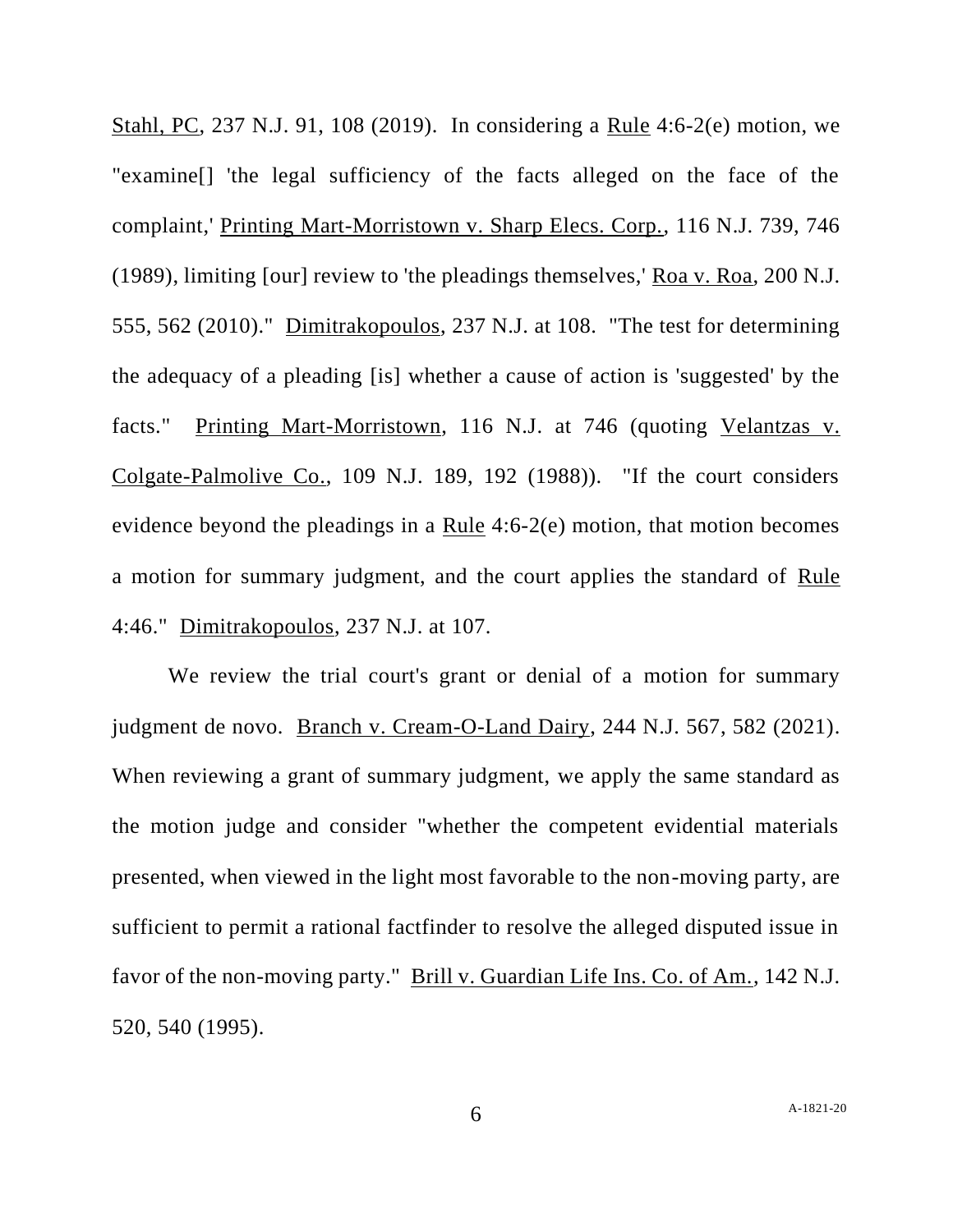Stahl, PC, 237 N.J. 91, 108 (2019). In considering a Rule 4:6-2(e) motion, we "examine[] 'the legal sufficiency of the facts alleged on the face of the complaint,' Printing Mart-Morristown v. Sharp Elecs. Corp., 116 N.J. 739, 746 (1989), limiting [our] review to 'the pleadings themselves,' Roa v. Roa, 200 N.J. 555, 562 (2010)." Dimitrakopoulos, 237 N.J. at 108. "The test for determining the adequacy of a pleading [is] whether a cause of action is 'suggested' by the facts." Printing Mart-Morristown, 116 N.J. at 746 (quoting Velantzas v. Colgate-Palmolive Co., 109 N.J. 189, 192 (1988)). "If the court considers evidence beyond the pleadings in a Rule 4:6-2(e) motion, that motion becomes a motion for summary judgment, and the court applies the standard of Rule 4:46." Dimitrakopoulos, 237 N.J. at 107.

We review the trial court's grant or denial of a motion for summary judgment de novo. Branch v. Cream-O-Land Dairy, 244 N.J. 567, 582 (2021). When reviewing a grant of summary judgment, we apply the same standard as the motion judge and consider "whether the competent evidential materials presented, when viewed in the light most favorable to the non-moving party, are sufficient to permit a rational factfinder to resolve the alleged disputed issue in favor of the non-moving party." Brill v. Guardian Life Ins. Co. of Am., 142 N.J. 520, 540 (1995).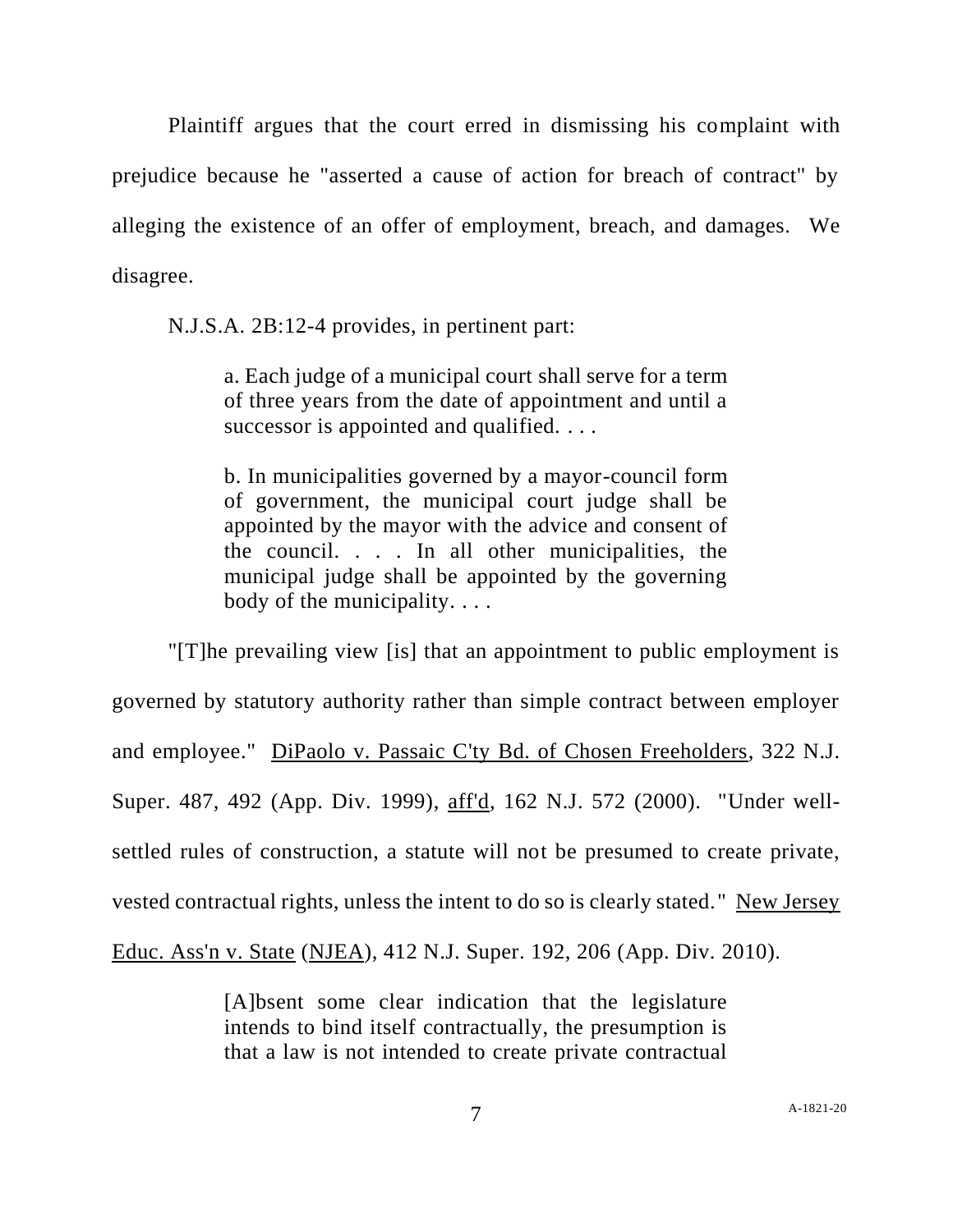Plaintiff argues that the court erred in dismissing his complaint with prejudice because he "asserted a cause of action for breach of contract" by alleging the existence of an offer of employment, breach, and damages. We disagree.

N.J.S.A. 2B:12-4 provides, in pertinent part:

a. Each judge of a municipal court shall serve for a term of three years from the date of appointment and until a successor is appointed and qualified. . . .

b. In municipalities governed by a mayor-council form of government, the municipal court judge shall be appointed by the mayor with the advice and consent of the council. . . . In all other municipalities, the municipal judge shall be appointed by the governing body of the municipality. . . .

"[T]he prevailing view [is] that an appointment to public employment is governed by statutory authority rather than simple contract between employer and employee." DiPaolo v. Passaic C'ty Bd. of Chosen Freeholders, 322 N.J. Super. 487, 492 (App. Div. 1999), aff'd, 162 N.J. 572 (2000). "Under wellsettled rules of construction, a statute will not be presumed to create private, vested contractual rights, unless the intent to do so is clearly stated." New Jersey Educ. Ass'n v. State (NJEA), 412 N.J. Super. 192, 206 (App. Div. 2010).

> [A]bsent some clear indication that the legislature intends to bind itself contractually, the presumption is that a law is not intended to create private contractual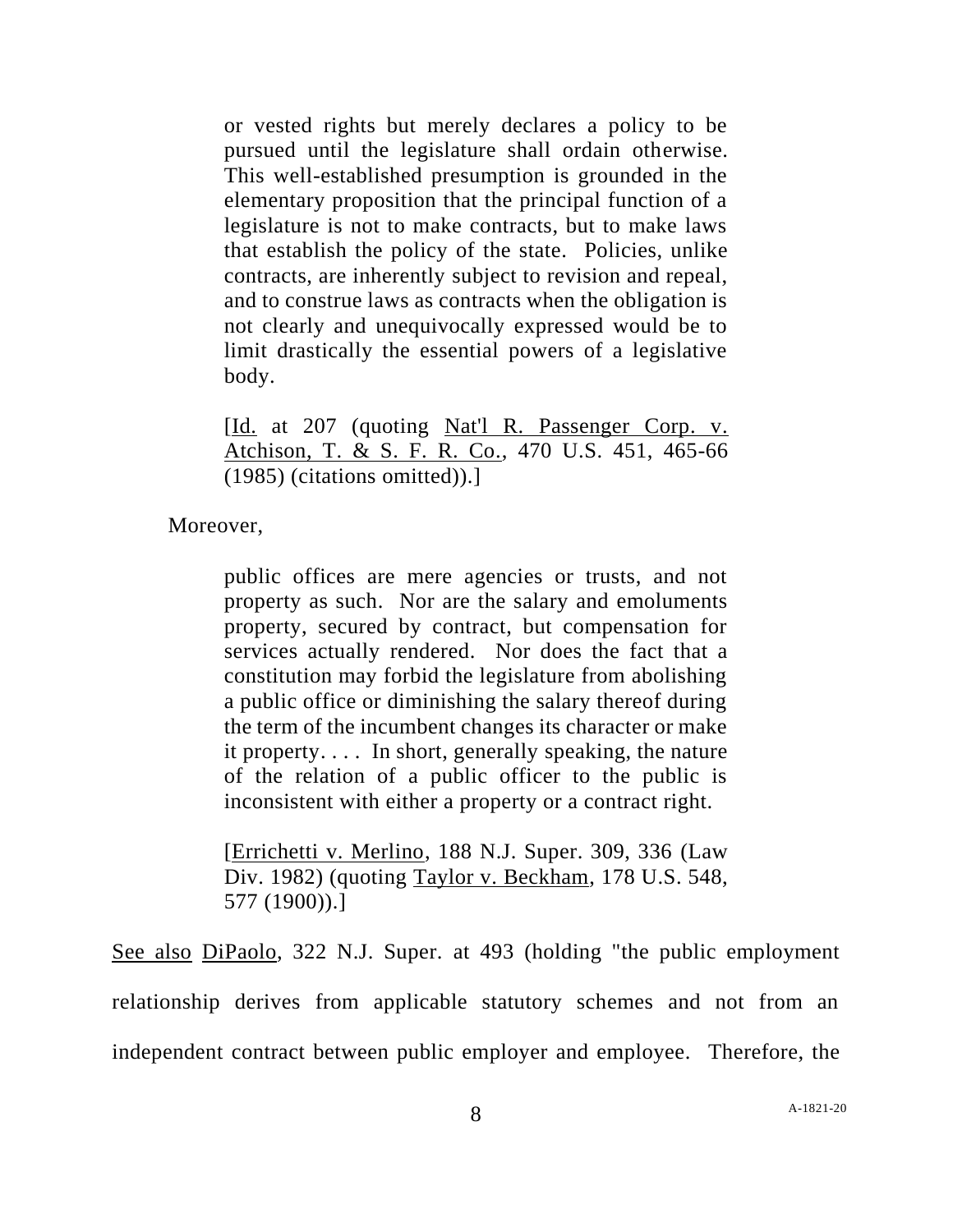or vested rights but merely declares a policy to be pursued until the legislature shall ordain otherwise. This well-established presumption is grounded in the elementary proposition that the principal function of a legislature is not to make contracts, but to make laws that establish the policy of the state. Policies, unlike contracts, are inherently subject to revision and repeal, and to construe laws as contracts when the obligation is not clearly and unequivocally expressed would be to limit drastically the essential powers of a legislative body.

[Id. at 207 (quoting Nat'l R. Passenger Corp. v. Atchison, T. & S. F. R. Co., 470 U.S. 451, 465-66 (1985) (citations omitted)).]

Moreover,

public offices are mere agencies or trusts, and not property as such. Nor are the salary and emoluments property, secured by contract, but compensation for services actually rendered. Nor does the fact that a constitution may forbid the legislature from abolishing a public office or diminishing the salary thereof during the term of the incumbent changes its character or make it property. . . . In short, generally speaking, the nature of the relation of a public officer to the public is inconsistent with either a property or a contract right.

[Errichetti v. Merlino, 188 N.J. Super. 309, 336 (Law Div. 1982) (quoting Taylor v. Beckham, 178 U.S. 548, 577 (1900)).]

See also DiPaolo, 322 N.J. Super. at 493 (holding "the public employment relationship derives from applicable statutory schemes and not from an independent contract between public employer and employee. Therefore, the